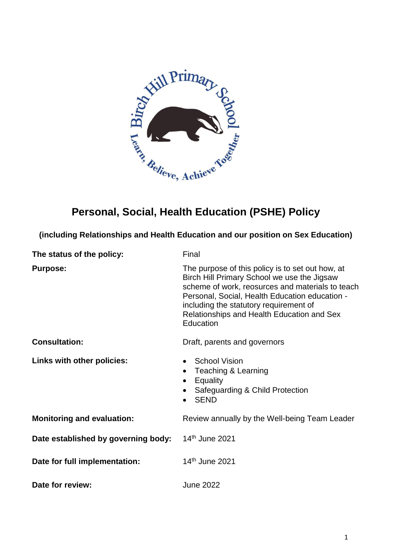

# **Personal, Social, Health Education (PSHE) Policy**

**(including Relationships and Health Education and our position on Sex Education)** 

| The status of the policy:           | Final                                                                                                                                                                                                                                                                                                      |  |
|-------------------------------------|------------------------------------------------------------------------------------------------------------------------------------------------------------------------------------------------------------------------------------------------------------------------------------------------------------|--|
| <b>Purpose:</b>                     | The purpose of this policy is to set out how, at<br>Birch Hill Primary School we use the Jigsaw<br>scheme of work, reosurces and materials to teach<br>Personal, Social, Health Education education -<br>including the statutory requirement of<br>Relationships and Health Education and Sex<br>Education |  |
| <b>Consultation:</b>                | Draft, parents and governors                                                                                                                                                                                                                                                                               |  |
| Links with other policies:          | <b>School Vision</b><br>Teaching & Learning<br>Equality<br>Safeguarding & Child Protection<br><b>SEND</b>                                                                                                                                                                                                  |  |
| <b>Monitoring and evaluation:</b>   | Review annually by the Well-being Team Leader                                                                                                                                                                                                                                                              |  |
| Date established by governing body: | 14th June 2021                                                                                                                                                                                                                                                                                             |  |
| Date for full implementation:       | 14 <sup>th</sup> June 2021                                                                                                                                                                                                                                                                                 |  |
| Date for review:                    | <b>June 2022</b>                                                                                                                                                                                                                                                                                           |  |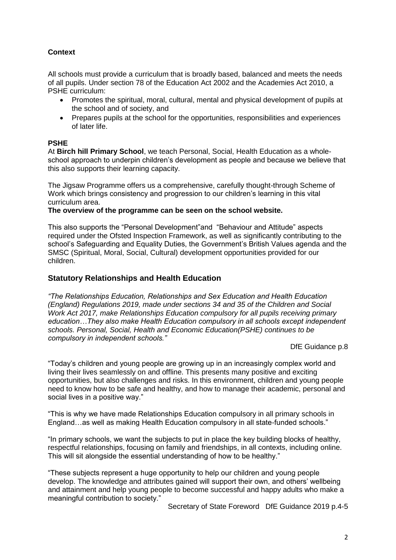### **Context**

All schools must provide a curriculum that is broadly based, balanced and meets the needs of all pupils. Under section 78 of the Education Act 2002 and the Academies Act 2010, a PSHE curriculum:

- Promotes the spiritual, moral, cultural, mental and physical development of pupils at the school and of society, and
- Prepares pupils at the school for the opportunities, responsibilities and experiences of later life.

#### **PSHE**

At **Birch hill Primary School**, we teach Personal, Social, Health Education as a wholeschool approach to underpin children's development as people and because we believe that this also supports their learning capacity.

The Jigsaw Programme offers us a comprehensive, carefully thought-through Scheme of Work which brings consistency and progression to our children's learning in this vital curriculum area.

**The overview of the programme can be seen on the school website.**

This also supports the "Personal Development"and "Behaviour and Attitude" aspects required under the Ofsted Inspection Framework, as well as significantly contributing to the school's Safeguarding and Equality Duties, the Government's British Values agenda and the SMSC (Spiritual, Moral, Social, Cultural) development opportunities provided for our children.

### **Statutory Relationships and Health Education**

*"The Relationships Education, Relationships and Sex Education and Health Education (England) Regulations 2019, made under sections 34 and 35 of the Children and Social Work Act 2017, make Relationships Education compulsory for all pupils receiving primary education…They also make Health Education compulsory in all schools except independent schools. Personal, Social, Health and Economic Education(PSHE) continues to be compulsory in independent schools."*

DfE Guidance p.8

"Today's children and young people are growing up in an increasingly complex world and living their lives seamlessly on and offline. This presents many positive and exciting opportunities, but also challenges and risks. In this environment, children and young people need to know how to be safe and healthy, and how to manage their academic, personal and social lives in a positive way."

"This is why we have made Relationships Education compulsory in all primary schools in England…as well as making Health Education compulsory in all state-funded schools."

"In primary schools, we want the subjects to put in place the key building blocks of healthy, respectful relationships, focusing on family and friendships, in all contexts, including online. This will sit alongside the essential understanding of how to be healthy."

"These subjects represent a huge opportunity to help our children and young people develop. The knowledge and attributes gained will support their own, and others' wellbeing and attainment and help young people to become successful and happy adults who make a meaningful contribution to society."

Secretary of State Foreword DfE Guidance 2019 p.4-5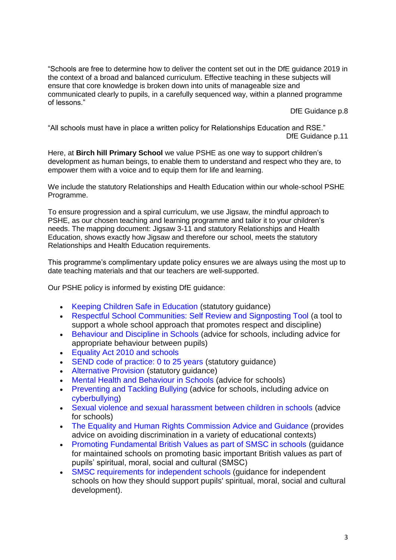"Schools are free to determine how to deliver the content set out in the DfE guidance 2019 in the context of a broad and balanced curriculum. Effective teaching in these subjects will ensure that core knowledge is broken down into units of manageable size and communicated clearly to pupils, in a carefully sequenced way, within a planned programme of lessons."

DfE Guidance p.8

"All schools must have in place a written policy for Relationships Education and RSE." DfE Guidance p.11

Here, at **Birch hill Primary School** we value PSHE as one way to support children's development as human beings, to enable them to understand and respect who they are, to empower them with a voice and to equip them for life and learning.

We include the statutory Relationships and Health Education within our whole-school PSHE Programme.

To ensure progression and a spiral curriculum, we use Jigsaw, the mindful approach to PSHE, as our chosen teaching and learning programme and tailor it to your children's needs. The mapping document: Jigsaw 3-11 and statutory Relationships and Health Education, shows exactly how Jigsaw and therefore our school, meets the statutory Relationships and Health Education requirements.

This programme's complimentary update policy ensures we are always using the most up to date teaching materials and that our teachers are well-supported.

Our PSHE policy is informed by existing DfE guidance:

- Keeping Children Safe in Education (statutory guidance)
- Respectful School Communities: Self Review and Signposting Tool (a tool to support a whole school approach that promotes respect and discipline)
- Behaviour and Discipline in Schools (advice for schools, including advice for appropriate behaviour between pupils)
- Equality Act 2010 and schools
- SEND code of practice: 0 to 25 years (statutory quidance)
- Alternative Provision (statutory guidance)
- Mental Health and Behaviour in Schools (advice for schools)
- Preventing and Tackling Bullying (advice for schools, including advice on cyberbullying)
- Sexual violence and sexual harassment between children in schools (advice for schools)
- The Equality and Human Rights Commission Advice and Guidance (provides advice on avoiding discrimination in a variety of educational contexts)
- Promoting Fundamental British Values as part of SMSC in schools (guidance for maintained schools on promoting basic important British values as part of pupils' spiritual, moral, social and cultural (SMSC)
- SMSC requirements for independent schools (guidance for independent schools on how they should support pupils' spiritual, moral, social and cultural development).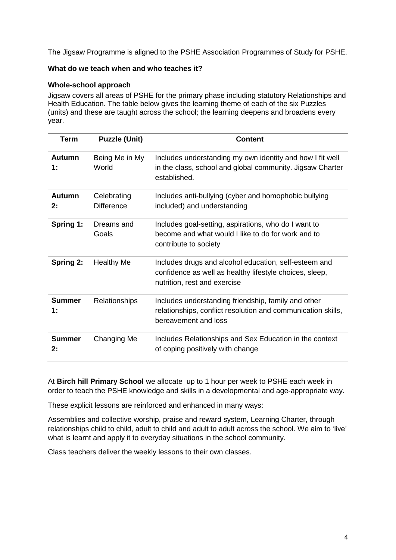The Jigsaw Programme is aligned to the PSHE Association Programmes of Study for PSHE.

#### **What do we teach when and who teaches it?**

#### **Whole-school approach**

Jigsaw covers all areas of PSHE for the primary phase including statutory Relationships and Health Education. The table below gives the learning theme of each of the six Puzzles (units) and these are taught across the school; the learning deepens and broadens every year.

| <b>Term</b>         | <b>Puzzle (Unit)</b>             | <b>Content</b>                                                                                                                                   |
|---------------------|----------------------------------|--------------------------------------------------------------------------------------------------------------------------------------------------|
| Autumn<br>1:        | Being Me in My<br>World          | Includes understanding my own identity and how I fit well<br>in the class, school and global community. Jigsaw Charter<br>established.           |
| <b>Autumn</b><br>2: | Celebrating<br><b>Difference</b> | Includes anti-bullying (cyber and homophobic bullying<br>included) and understanding                                                             |
| <b>Spring 1:</b>    | Dreams and<br>Goals              | Includes goal-setting, aspirations, who do I want to<br>become and what would I like to do for work and to<br>contribute to society              |
| Spring 2:           | <b>Healthy Me</b>                | Includes drugs and alcohol education, self-esteem and<br>confidence as well as healthy lifestyle choices, sleep,<br>nutrition, rest and exercise |
| <b>Summer</b><br>1: | <b>Relationships</b>             | Includes understanding friendship, family and other<br>relationships, conflict resolution and communication skills,<br>bereavement and loss      |
| <b>Summer</b><br>2: | Changing Me                      | Includes Relationships and Sex Education in the context<br>of coping positively with change                                                      |

At **Birch hill Primary School** we allocate up to 1 hour per week to PSHE each week in order to teach the PSHE knowledge and skills in a developmental and age-appropriate way.

These explicit lessons are reinforced and enhanced in many ways:

Assemblies and collective worship, praise and reward system, Learning Charter, through relationships child to child, adult to child and adult to adult across the school. We aim to 'live' what is learnt and apply it to everyday situations in the school community.

Class teachers deliver the weekly lessons to their own classes.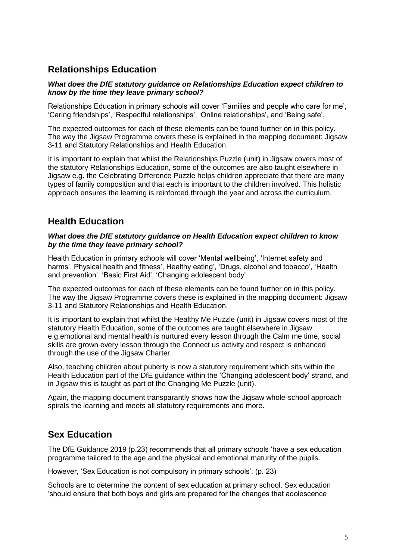# **Relationships Education**

#### *What does the DfE statutory guidance on Relationships Education expect children to know by the time they leave primary school?*

Relationships Education in primary schools will cover 'Families and people who care for me', 'Caring friendships', 'Respectful relationships', 'Online relationships', and 'Being safe'.

The expected outcomes for each of these elements can be found further on in this policy. The way the Jigsaw Programme covers these is explained in the mapping document: Jigsaw 3-11 and Statutory Relationships and Health Education.

It is important to explain that whilst the Relationships Puzzle (unit) in Jigsaw covers most of the statutory Relationships Education, some of the outcomes are also taught elsewhere in Jigsaw e.g. the Celebrating Difference Puzzle helps children appreciate that there are many types of family composition and that each is important to the children involved. This holistic approach ensures the learning is reinforced through the year and across the curriculum.

# **Health Education**

#### *What does the DfE statutory guidance on Health Education expect children to know by the time they leave primary school?*

Health Education in primary schools will cover 'Mental wellbeing', 'Internet safety and harms', Physical health and fitness', Healthy eating', 'Drugs, alcohol and tobacco', 'Health and prevention', 'Basic First Aid', 'Changing adolescent body'.

The expected outcomes for each of these elements can be found further on in this policy. The way the Jigsaw Programme covers these is explained in the mapping document: Jigsaw 3-11 and Statutory Relationships and Health Education.

It is important to explain that whilst the Healthy Me Puzzle (unit) in Jigsaw covers most of the statutory Health Education, some of the outcomes are taught elsewhere in Jigsaw e.g.emotional and mental health is nurtured every lesson through the Calm me time, social skills are grown every lesson through the Connect us activity and respect is enhanced through the use of the Jigsaw Charter.

Also, teaching children about puberty is now a statutory requirement which sits within the Health Education part of the DfE guidance within the 'Changing adolescent body' strand, and in Jigsaw this is taught as part of the Changing Me Puzzle (unit).

Again, the mapping document transparantly shows how the Jigsaw whole-school approach spirals the learning and meets all statutory requirements and more.

## **Sex Education**

The DfE Guidance 2019 (p.23) recommends that all primary schools 'have a sex education programme tailored to the age and the physical and emotional maturity of the pupils.

However, 'Sex Education is not compulsory in primary schools'. (p. 23)

Schools are to determine the content of sex education at primary school. Sex education 'should ensure that both boys and girls are prepared for the changes that adolescence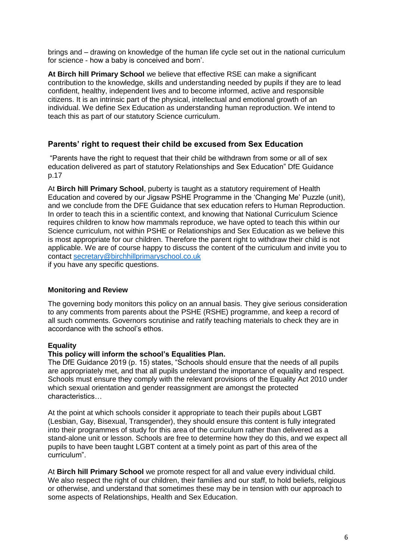brings and – drawing on knowledge of the human life cycle set out in the national curriculum for science - how a baby is conceived and born'.

**At Birch hill Primary School** we believe that effective RSE can make a significant contribution to the knowledge, skills and understanding needed by pupils if they are to lead confident, healthy, independent lives and to become informed, active and responsible citizens. It is an intrinsic part of the physical, intellectual and emotional growth of an individual. We define Sex Education as understanding human reproduction. We intend to teach this as part of our statutory Science curriculum.

### **Parents' right to request their child be excused from Sex Education**

"Parents have the right to request that their child be withdrawn from some or all of sex education delivered as part of statutory Relationships and Sex Education" DfE Guidance p.17

At **Birch hill Primary School**, puberty is taught as a statutory requirement of Health Education and covered by our Jigsaw PSHE Programme in the 'Changing Me' Puzzle (unit), and we conclude from the DFE Guidance that sex education refers to Human Reproduction. In order to teach this in a scientific context, and knowing that National Curriculum Science requires children to know how mammals reproduce, we have opted to teach this within our Science curriculum, not within PSHE or Relationships and Sex Education as we believe this is most appropriate for our children. Therefore the parent right to withdraw their child is not applicable. We are of course happy to discuss the content of the curriculum and invite you to contact [secretary@birchhillprimaryschool.co.uk](mailto:secretary@birchhillprimaryschool.co.uk)

if you have any specific questions.

#### **Monitoring and Review**

The governing body monitors this policy on an annual basis. They give serious consideration to any comments from parents about the PSHE (RSHE) programme, and keep a record of all such comments. Governors scrutinise and ratify teaching materials to check they are in accordance with the school's ethos.

#### **Equality**

#### **This policy will inform the school's Equalities Plan.**

The DfE Guidance 2019 (p. 15) states, "Schools should ensure that the needs of all pupils are appropriately met, and that all pupils understand the importance of equality and respect. Schools must ensure they comply with the relevant provisions of the Equality Act 2010 under which sexual orientation and gender reassignment are amongst the protected characteristics…

At the point at which schools consider it appropriate to teach their pupils about LGBT (Lesbian, Gay, Bisexual, Transgender), they should ensure this content is fully integrated into their programmes of study for this area of the curriculum rather than delivered as a stand-alone unit or lesson. Schools are free to determine how they do this, and we expect all pupils to have been taught LGBT content at a timely point as part of this area of the curriculum".

At **Birch hill Primary School** we promote respect for all and value every individual child. We also respect the right of our children, their families and our staff, to hold beliefs, religious or otherwise, and understand that sometimes these may be in tension with our approach to some aspects of Relationships, Health and Sex Education.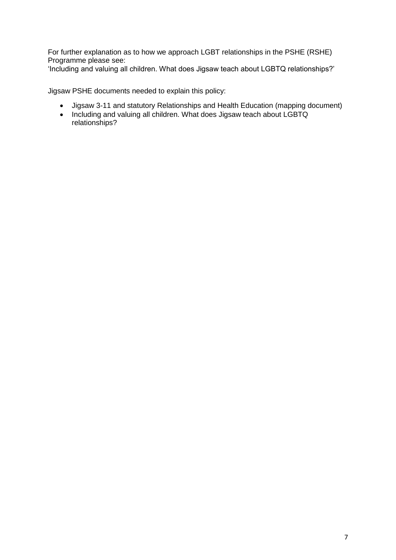For further explanation as to how we approach LGBT relationships in the PSHE (RSHE) Programme please see:

'Including and valuing all children. What does Jigsaw teach about LGBTQ relationships?'

Jigsaw PSHE documents needed to explain this policy:

- Jigsaw 3-11 and statutory Relationships and Health Education (mapping document)
- Including and valuing all children. What does Jigsaw teach about LGBTQ relationships?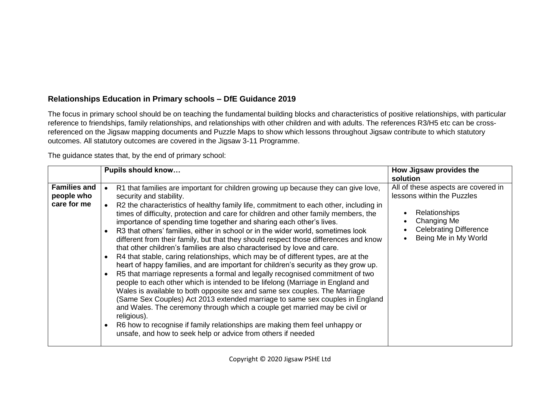### **Relationships Education in Primary schools – DfE Guidance 2019**

The focus in primary school should be on teaching the fundamental building blocks and characteristics of positive relationships, with particular reference to friendships, family relationships, and relationships with other children and with adults. The references R3/H5 etc can be crossreferenced on the Jigsaw mapping documents and Puzzle Maps to show which lessons throughout Jigsaw contribute to which statutory outcomes. All statutory outcomes are covered in the Jigsaw 3-11 Programme.

The guidance states that, by the end of primary school:

|                                                  | <b>Pupils should know</b>                                                                                                                                                                                                                                                                                                                                                                                                                                                                                                                                                                                                                                                                                                                                                                                                                                                                                                                                                                                                                                                                                                                                                                                                                                                                                                                                                                                                                 | How Jigsaw provides the<br>solution                                                                                                                               |
|--------------------------------------------------|-------------------------------------------------------------------------------------------------------------------------------------------------------------------------------------------------------------------------------------------------------------------------------------------------------------------------------------------------------------------------------------------------------------------------------------------------------------------------------------------------------------------------------------------------------------------------------------------------------------------------------------------------------------------------------------------------------------------------------------------------------------------------------------------------------------------------------------------------------------------------------------------------------------------------------------------------------------------------------------------------------------------------------------------------------------------------------------------------------------------------------------------------------------------------------------------------------------------------------------------------------------------------------------------------------------------------------------------------------------------------------------------------------------------------------------------|-------------------------------------------------------------------------------------------------------------------------------------------------------------------|
| <b>Families and</b><br>people who<br>care for me | R1 that families are important for children growing up because they can give love,<br>security and stability.<br>R2 the characteristics of healthy family life, commitment to each other, including in<br>times of difficulty, protection and care for children and other family members, the<br>importance of spending time together and sharing each other's lives.<br>R3 that others' families, either in school or in the wider world, sometimes look<br>$\bullet$<br>different from their family, but that they should respect those differences and know<br>that other children's families are also characterised by love and care.<br>R4 that stable, caring relationships, which may be of different types, are at the<br>$\bullet$<br>heart of happy families, and are important for children's security as they grow up.<br>R5 that marriage represents a formal and legally recognised commitment of two<br>$\bullet$<br>people to each other which is intended to be lifelong (Marriage in England and<br>Wales is available to both opposite sex and same sex couples. The Marriage<br>(Same Sex Couples) Act 2013 extended marriage to same sex couples in England<br>and Wales. The ceremony through which a couple get married may be civil or<br>religious).<br>R6 how to recognise if family relationships are making them feel unhappy or<br>$\bullet$<br>unsafe, and how to seek help or advice from others if needed | All of these aspects are covered in<br>lessons within the Puzzles<br><b>Relationships</b><br>Changing Me<br><b>Celebrating Difference</b><br>Being Me in My World |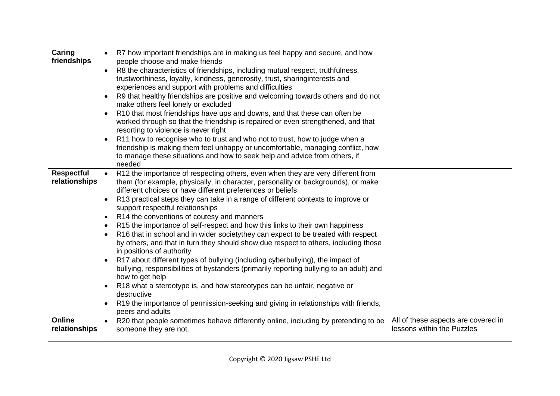| Caring<br>friendships              | R7 how important friendships are in making us feel happy and secure, and how<br>people choose and make friends<br>R8 the characteristics of friendships, including mutual respect, truthfulness,<br>trustworthiness, loyalty, kindness, generosity, trust, sharinginterests and<br>experiences and support with problems and difficulties<br>R9 that healthy friendships are positive and welcoming towards others and do not<br>$\bullet$<br>make others feel lonely or excluded<br>R10 that most friendships have ups and downs, and that these can often be<br>worked through so that the friendship is repaired or even strengthened, and that<br>resorting to violence is never right<br>R11 how to recognise who to trust and who not to trust, how to judge when a<br>$\bullet$<br>friendship is making them feel unhappy or uncomfortable, managing conflict, how<br>to manage these situations and how to seek help and advice from others, if<br>needed                                                                                                                                                                                                                                  |                                                                   |
|------------------------------------|----------------------------------------------------------------------------------------------------------------------------------------------------------------------------------------------------------------------------------------------------------------------------------------------------------------------------------------------------------------------------------------------------------------------------------------------------------------------------------------------------------------------------------------------------------------------------------------------------------------------------------------------------------------------------------------------------------------------------------------------------------------------------------------------------------------------------------------------------------------------------------------------------------------------------------------------------------------------------------------------------------------------------------------------------------------------------------------------------------------------------------------------------------------------------------------------------|-------------------------------------------------------------------|
| <b>Respectful</b><br>relationships | R12 the importance of respecting others, even when they are very different from<br>them (for example, physically, in character, personality or backgrounds), or make<br>different choices or have different preferences or beliefs<br>R13 practical steps they can take in a range of different contexts to improve or<br>$\bullet$<br>support respectful relationships<br>R14 the conventions of coutesy and manners<br>$\bullet$<br>R15 the importance of self-respect and how this links to their own happiness<br>$\bullet$<br>R16 that in school and in wider society they can expect to be treated with respect<br>$\bullet$<br>by others, and that in turn they should show due respect to others, including those<br>in positions of authority<br>R17 about different types of bullying (including cyberbullying), the impact of<br>$\bullet$<br>bullying, responsibilities of bystanders (primarily reporting bullying to an adult) and<br>how to get help<br>R18 what a stereotype is, and how stereotypes can be unfair, negative or<br>$\bullet$<br>destructive<br>R19 the importance of permission-seeking and giving in relationships with friends,<br>$\bullet$<br>peers and adults |                                                                   |
| <b>Online</b><br>relationships     | R20 that people sometimes behave differently online, including by pretending to be<br>$\bullet$<br>someone they are not.                                                                                                                                                                                                                                                                                                                                                                                                                                                                                                                                                                                                                                                                                                                                                                                                                                                                                                                                                                                                                                                                           | All of these aspects are covered in<br>lessons within the Puzzles |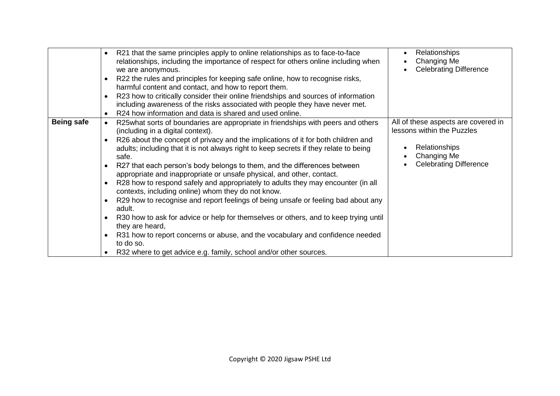|                   | R21 that the same principles apply to online relationships as to face-to-face<br>$\bullet$<br>relationships, including the importance of respect for others online including when<br>we are anonymous.<br>R22 the rules and principles for keeping safe online, how to recognise risks,<br>$\bullet$<br>harmful content and contact, and how to report them.<br>R23 how to critically consider their online friendships and sources of information<br>$\bullet$<br>including awareness of the risks associated with people they have never met.<br>R24 how information and data is shared and used online.<br>$\bullet$                                                                                                                                                                                                                                                                                                                                                                                                                                                                          | Relationships<br>Changing Me<br><b>Celebrating Difference</b>                                                                             |
|-------------------|--------------------------------------------------------------------------------------------------------------------------------------------------------------------------------------------------------------------------------------------------------------------------------------------------------------------------------------------------------------------------------------------------------------------------------------------------------------------------------------------------------------------------------------------------------------------------------------------------------------------------------------------------------------------------------------------------------------------------------------------------------------------------------------------------------------------------------------------------------------------------------------------------------------------------------------------------------------------------------------------------------------------------------------------------------------------------------------------------|-------------------------------------------------------------------------------------------------------------------------------------------|
| <b>Being safe</b> | R25what sorts of boundaries are appropriate in friendships with peers and others<br>$\bullet$<br>(including in a digital context).<br>R26 about the concept of privacy and the implications of it for both children and<br>$\bullet$<br>adults; including that it is not always right to keep secrets if they relate to being<br>safe.<br>R27 that each person's body belongs to them, and the differences between<br>$\bullet$<br>appropriate and inappropriate or unsafe physical, and other, contact.<br>R28 how to respond safely and appropriately to adults they may encounter (in all<br>$\bullet$<br>contexts, including online) whom they do not know.<br>R29 how to recognise and report feelings of being unsafe or feeling bad about any<br>$\bullet$<br>adult.<br>R30 how to ask for advice or help for themselves or others, and to keep trying until<br>$\bullet$<br>they are heard,<br>R31 how to report concerns or abuse, and the vocabulary and confidence needed<br>$\bullet$<br>to do so.<br>R32 where to get advice e.g. family, school and/or other sources.<br>$\bullet$ | All of these aspects are covered in<br>lessons within the Puzzles<br><b>Relationships</b><br>Changing Me<br><b>Celebrating Difference</b> |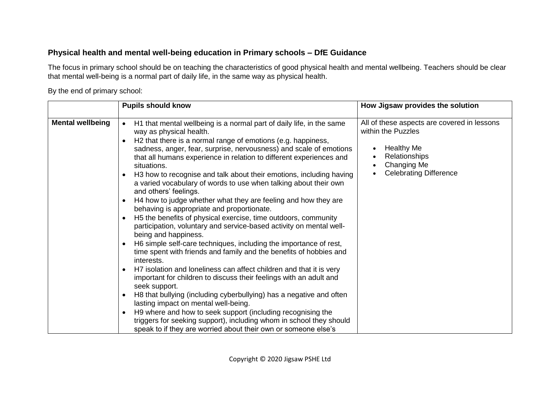### **Physical health and mental well-being education in Primary schools – DfE Guidance**

The focus in primary school should be on teaching the characteristics of good physical health and mental wellbeing. Teachers should be clear that mental well-being is a normal part of daily life, in the same way as physical health.

By the end of primary school:

|                         | <b>Pupils should know</b>                                                                                                                                                                                                                                                                                                                                                                                                                                                                                                                                                                                                                                                                                                                                                                                                                                                                                                                                                                                                                                                                                                                                                                                                                                                                                                                                                                                                                                                                                                      | How Jigsaw provides the solution                                                                                                                                                               |
|-------------------------|--------------------------------------------------------------------------------------------------------------------------------------------------------------------------------------------------------------------------------------------------------------------------------------------------------------------------------------------------------------------------------------------------------------------------------------------------------------------------------------------------------------------------------------------------------------------------------------------------------------------------------------------------------------------------------------------------------------------------------------------------------------------------------------------------------------------------------------------------------------------------------------------------------------------------------------------------------------------------------------------------------------------------------------------------------------------------------------------------------------------------------------------------------------------------------------------------------------------------------------------------------------------------------------------------------------------------------------------------------------------------------------------------------------------------------------------------------------------------------------------------------------------------------|------------------------------------------------------------------------------------------------------------------------------------------------------------------------------------------------|
| <b>Mental wellbeing</b> | H1 that mental wellbeing is a normal part of daily life, in the same<br>$\bullet$<br>way as physical health.<br>H2 that there is a normal range of emotions (e.g. happiness,<br>$\bullet$<br>sadness, anger, fear, surprise, nervousness) and scale of emotions<br>that all humans experience in relation to different experiences and<br>situations.<br>H3 how to recognise and talk about their emotions, including having<br>a varied vocabulary of words to use when talking about their own<br>and others' feelings.<br>H4 how to judge whether what they are feeling and how they are<br>$\bullet$<br>behaving is appropriate and proportionate.<br>H5 the benefits of physical exercise, time outdoors, community<br>$\bullet$<br>participation, voluntary and service-based activity on mental well-<br>being and happiness.<br>H6 simple self-care techniques, including the importance of rest,<br>$\bullet$<br>time spent with friends and family and the benefits of hobbies and<br>interests.<br>H7 isolation and loneliness can affect children and that it is very<br>$\bullet$<br>important for children to discuss their feelings with an adult and<br>seek support.<br>H8 that bullying (including cyberbullying) has a negative and often<br>٠<br>lasting impact on mental well-being.<br>H9 where and how to seek support (including recognising the<br>$\bullet$<br>triggers for seeking support), including whom in school they should<br>speak to if they are worried about their own or someone else's | All of these aspects are covered in lessons<br>within the Puzzles<br><b>Healthy Me</b><br>$\bullet$<br>Relationships<br>Changing Me<br>$\bullet$<br><b>Celebrating Difference</b><br>$\bullet$ |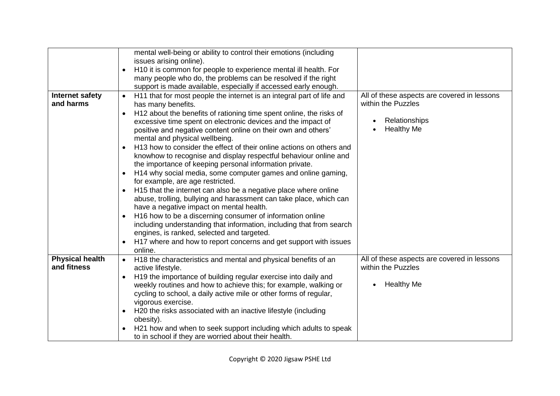|                                       | mental well-being or ability to control their emotions (including<br>issues arising online).                        |                                                                   |
|---------------------------------------|---------------------------------------------------------------------------------------------------------------------|-------------------------------------------------------------------|
|                                       | H10 it is common for people to experience mental ill health. For<br>$\bullet$                                       |                                                                   |
|                                       | many people who do, the problems can be resolved if the right                                                       |                                                                   |
|                                       | support is made available, especially if accessed early enough.                                                     |                                                                   |
| <b>Internet safety</b>                | H11 that for most people the internet is an integral part of life and                                               | All of these aspects are covered in lessons                       |
| and harms                             | has many benefits.                                                                                                  | within the Puzzles                                                |
|                                       | H <sub>12</sub> about the benefits of rationing time spent online, the risks of<br>$\bullet$                        |                                                                   |
|                                       | excessive time spent on electronic devices and the impact of                                                        | Relationships<br>$\bullet$<br><b>Healthy Me</b>                   |
|                                       | positive and negative content online on their own and others'                                                       |                                                                   |
|                                       | mental and physical wellbeing.<br>H13 how to consider the effect of their online actions on others and<br>$\bullet$ |                                                                   |
|                                       | knowhow to recognise and display respectful behaviour online and                                                    |                                                                   |
|                                       | the importance of keeping personal information private.                                                             |                                                                   |
|                                       | H14 why social media, some computer games and online gaming,<br>$\bullet$                                           |                                                                   |
|                                       | for example, are age restricted.                                                                                    |                                                                   |
|                                       | H15 that the internet can also be a negative place where online<br>$\bullet$                                        |                                                                   |
|                                       | abuse, trolling, bullying and harassment can take place, which can                                                  |                                                                   |
|                                       | have a negative impact on mental health.                                                                            |                                                                   |
|                                       | H16 how to be a discerning consumer of information online<br>$\bullet$                                              |                                                                   |
|                                       | including understanding that information, including that from search                                                |                                                                   |
|                                       | engines, is ranked, selected and targeted.                                                                          |                                                                   |
|                                       | H17 where and how to report concerns and get support with issues                                                    |                                                                   |
|                                       | online.                                                                                                             |                                                                   |
| <b>Physical health</b><br>and fitness | H18 the characteristics and mental and physical benefits of an                                                      | All of these aspects are covered in lessons<br>within the Puzzles |
|                                       | active lifestyle.<br>H19 the importance of building regular exercise into daily and<br>$\bullet$                    |                                                                   |
|                                       | weekly routines and how to achieve this; for example, walking or                                                    | <b>Healthy Me</b><br>$\bullet$                                    |
|                                       | cycling to school, a daily active mile or other forms of regular,                                                   |                                                                   |
|                                       | vigorous exercise.                                                                                                  |                                                                   |
|                                       | H20 the risks associated with an inactive lifestyle (including<br>$\bullet$                                         |                                                                   |
|                                       | obesity).                                                                                                           |                                                                   |
|                                       | H21 how and when to seek support including which adults to speak                                                    |                                                                   |
|                                       | to in school if they are worried about their health.                                                                |                                                                   |